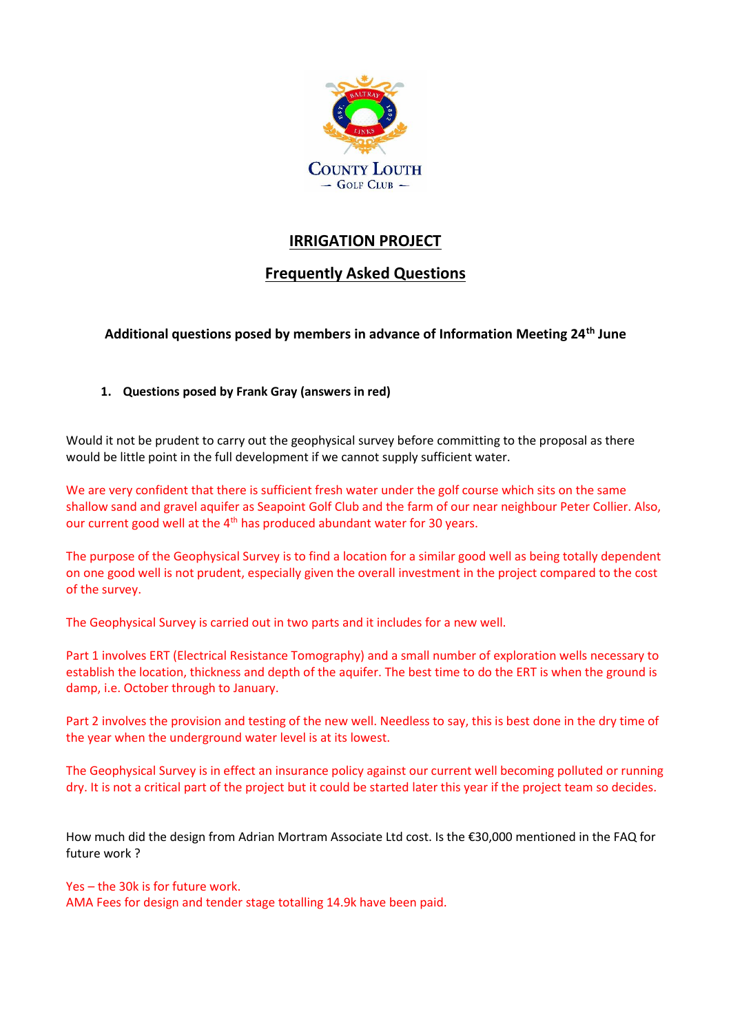

## **IRRIGATION PROJECT**

## **Frequently Asked Questions**

**Additional questions posed by members in advance of Information Meeting 24th June**

**1. Questions posed by Frank Gray (answers in red)**

Would it not be prudent to carry out the geophysical survey before committing to the proposal as there would be little point in the full development if we cannot supply sufficient water.

We are very confident that there is sufficient fresh water under the golf course which sits on the same shallow sand and gravel aquifer as Seapoint Golf Club and the farm of our near neighbour Peter Collier. Also, our current good well at the 4<sup>th</sup> has produced abundant water for 30 years.

The purpose of the Geophysical Survey is to find a location for a similar good well as being totally dependent on one good well is not prudent, especially given the overall investment in the project compared to the cost of the survey.

The Geophysical Survey is carried out in two parts and it includes for a new well.

Part 1 involves ERT (Electrical Resistance Tomography) and a small number of exploration wells necessary to establish the location, thickness and depth of the aquifer. The best time to do the ERT is when the ground is damp, i.e. October through to January.

Part 2 involves the provision and testing of the new well. Needless to say, this is best done in the dry time of the year when the underground water level is at its lowest.

The Geophysical Survey is in effect an insurance policy against our current well becoming polluted or running dry. It is not a critical part of the project but it could be started later this year if the project team so decides.

How much did the design from Adrian Mortram Associate Ltd cost. Is the €30,000 mentioned in the FAQ for future work ?

Yes – the 30k is for future work.

AMA Fees for design and tender stage totalling 14.9k have been paid.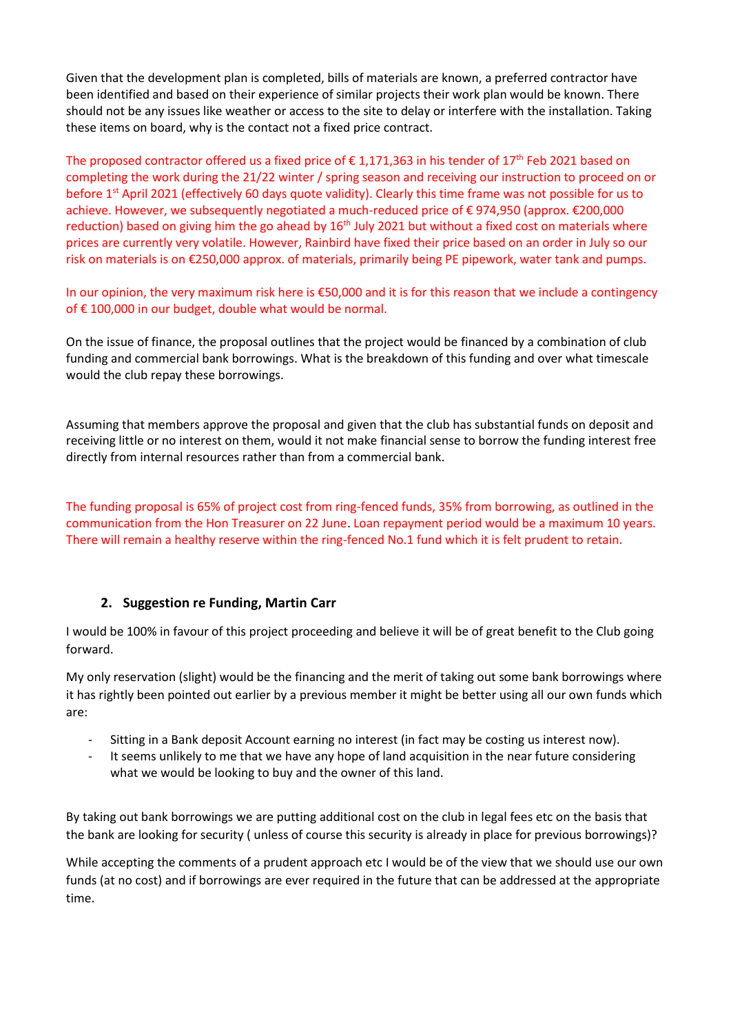Given that the development plan is completed, bills of materials are known, a preferred contractor have been identified and based on their experience of similar projects their work plan would be known. There should not be any issues like weather or access to the site to delay or interfere with the installation. Taking these items on board, why is the contact not a fixed price contract.

The proposed contractor offered us a fixed price of  $\epsilon$  1,171,363 in his tender of 17<sup>th</sup> Feb 2021 based on completing the work during the 21/22 winter / spring season and receiving our instruction to proceed on or before 1<sup>st</sup> April 2021 (effectively 60 days quote validity). Clearly this time frame was not possible for us to achieve. However, we subsequently negotiated a much-reduced price of € 974,950 (approx. €200,000 reduction) based on giving him the go ahead by 16<sup>th</sup> July 2021 but without a fixed cost on materials where prices are currently very volatile. However, Rainbird have fixed their price based on an order in July so our risk on materials is on €250,000 approx. of materials, primarily being PE pipework, water tank and pumps.

In our opinion, the very maximum risk here is €50,000 and it is for this reason that we include a contingency of € 100,000 in our budget, double what would be normal.

On the issue of finance, the proposal outlines that the project would be financed by a combination of club funding and commercial bank borrowings. What is the breakdown of this funding and over what timescale would the club repay these borrowings.

Assuming that members approve the proposal and given that the club has substantial funds on deposit and receiving little or no interest on them, would it not make financial sense to borrow the funding interest free directly from internal resources rather than from a commercial bank.

The funding proposal is 65% of project cost from ring-fenced funds, 35% from borrowing, as outlined in the communication from the Hon Treasurer on 22 June. Loan repayment period would be a maximum 10 years. There will remain a healthy reserve within the ring-fenced No.1 fund which it is felt prudent to retain.

## **2. Suggestion re Funding, Martin Carr**

I would be 100% in favour of this project proceeding and believe it will be of great benefit to the Club going forward.

My only reservation (slight) would be the financing and the merit of taking out some bank borrowings where it has rightly been pointed out earlier by a previous member it might be better using all our own funds which are:

- Sitting in a Bank deposit Account earning no interest (in fact may be costing us interest now).
- It seems unlikely to me that we have any hope of land acquisition in the near future considering what we would be looking to buy and the owner of this land.

By taking out bank borrowings we are putting additional cost on the club in legal fees etc on the basis that the bank are looking for security ( unless of course this security is already in place for previous borrowings)?

While accepting the comments of a prudent approach etc I would be of the view that we should use our own funds (at no cost) and if borrowings are ever required in the future that can be addressed at the appropriate time.